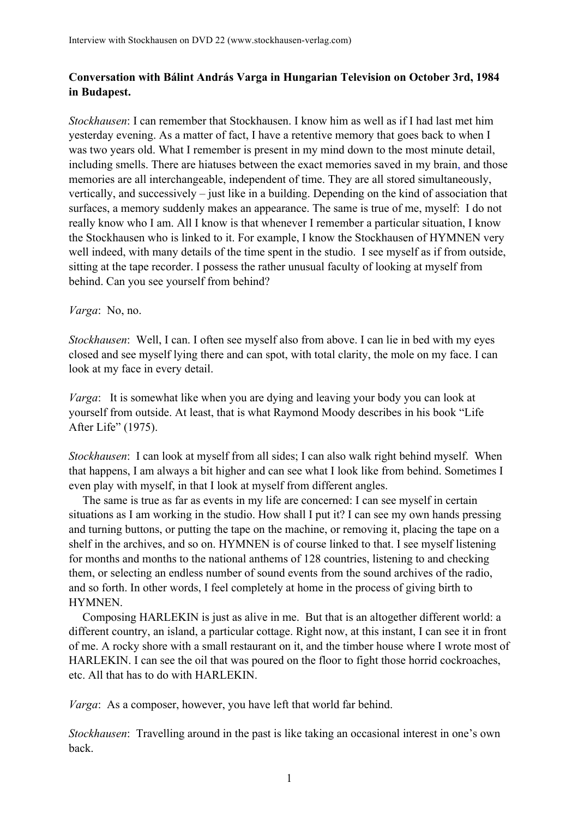## **Conversation with Bálint András Varga in Hungarian Television on October 3rd, 1984 in Budapest.**

*Stockhausen*: I can remember that Stockhausen. I know him as well as if I had last met him yesterday evening. As a matter of fact, I have a retentive memory that goes back to when I was two years old. What I remember is present in my mind down to the most minute detail, including smells. There are hiatuses between the exact memories saved in my brain, and those memories are all interchangeable, independent of time. They are all stored simultaneously, vertically, and successively – just like in a building. Depending on the kind of association that surfaces, a memory suddenly makes an appearance. The same is true of me, myself: I do not really know who I am. All I know is that whenever I remember a particular situation, I know the Stockhausen who is linked to it. For example, I know the Stockhausen of HYMNEN very well indeed, with many details of the time spent in the studio. I see myself as if from outside, sitting at the tape recorder. I possess the rather unusual faculty of looking at myself from behind. Can you see yourself from behind?

*Varga*: No, no.

*Stockhausen*: Well, I can. I often see myself also from above. I can lie in bed with my eyes closed and see myself lying there and can spot, with total clarity, the mole on my face. I can look at my face in every detail.

*Varga*: It is somewhat like when you are dying and leaving your body you can look at yourself from outside. At least, that is what Raymond Moody describes in his book "Life After Life" (1975).

*Stockhausen*: I can look at myself from all sides; I can also walk right behind myself. When that happens, I am always a bit higher and can see what I look like from behind. Sometimes I even play with myself, in that I look at myself from different angles.

The same is true as far as events in my life are concerned: I can see myself in certain situations as I am working in the studio. How shall I put it? I can see my own hands pressing and turning buttons, or putting the tape on the machine, or removing it, placing the tape on a shelf in the archives, and so on. HYMNEN is of course linked to that. I see myself listening for months and months to the national anthems of 128 countries, listening to and checking them, or selecting an endless number of sound events from the sound archives of the radio, and so forth. In other words, I feel completely at home in the process of giving birth to HYMNEN.

Composing HARLEKIN is just as alive in me. But that is an altogether different world: a different country, an island, a particular cottage. Right now, at this instant, I can see it in front of me. A rocky shore with a small restaurant on it, and the timber house where I wrote most of HARLEKIN. I can see the oil that was poured on the floor to fight those horrid cockroaches, etc. All that has to do with HARLEKIN.

*Varga*: As a composer, however, you have left that world far behind.

*Stockhausen*: Travelling around in the past is like taking an occasional interest in one's own back.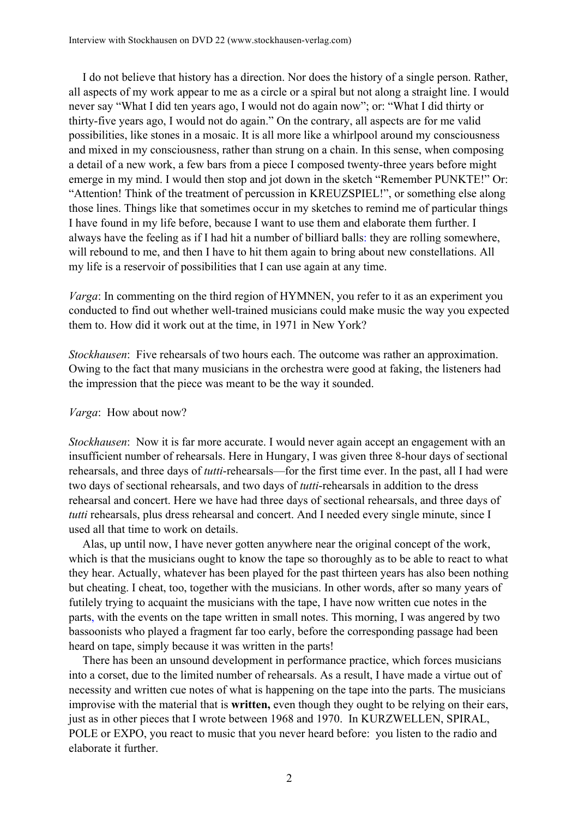I do not believe that history has a direction. Nor does the history of a single person. Rather, all aspects of my work appear to me as a circle or a spiral but not along a straight line. I would never say "What I did ten years ago, I would not do again now"; or: "What I did thirty or thirty-five years ago, I would not do again." On the contrary, all aspects are for me valid possibilities, like stones in a mosaic. It is all more like a whirlpool around my consciousness and mixed in my consciousness, rather than strung on a chain. In this sense, when composing a detail of a new work, a few bars from a piece I composed twenty-three years before might emerge in my mind. I would then stop and jot down in the sketch "Remember PUNKTE!" Or: "Attention! Think of the treatment of percussion in KREUZSPIEL!", or something else along those lines. Things like that sometimes occur in my sketches to remind me of particular things I have found in my life before, because I want to use them and elaborate them further. I always have the feeling as if I had hit a number of billiard balls: they are rolling somewhere, will rebound to me, and then I have to hit them again to bring about new constellations. All my life is a reservoir of possibilities that I can use again at any time.

*Varga*: In commenting on the third region of HYMNEN, you refer to it as an experiment you conducted to find out whether well-trained musicians could make music the way you expected them to. How did it work out at the time, in 1971 in New York?

*Stockhausen*: Five rehearsals of two hours each. The outcome was rather an approximation. Owing to the fact that many musicians in the orchestra were good at faking, the listeners had the impression that the piece was meant to be the way it sounded.

## *Varga*: How about now?

*Stockhausen*: Now it is far more accurate. I would never again accept an engagement with an insufficient number of rehearsals. Here in Hungary, I was given three 8-hour days of sectional rehearsals, and three days of *tutti*-rehearsals—for the first time ever. In the past, all I had were two days of sectional rehearsals, and two days of *tutti*-rehearsals in addition to the dress rehearsal and concert. Here we have had three days of sectional rehearsals, and three days of *tutti* rehearsals, plus dress rehearsal and concert. And I needed every single minute, since I used all that time to work on details.

Alas, up until now, I have never gotten anywhere near the original concept of the work, which is that the musicians ought to know the tape so thoroughly as to be able to react to what they hear. Actually, whatever has been played for the past thirteen years has also been nothing but cheating. I cheat, too, together with the musicians. In other words, after so many years of futilely trying to acquaint the musicians with the tape, I have now written cue notes in the parts, with the events on the tape written in small notes. This morning, I was angered by two bassoonists who played a fragment far too early, before the corresponding passage had been heard on tape, simply because it was written in the parts!

There has been an unsound development in performance practice, which forces musicians into a corset, due to the limited number of rehearsals. As a result, I have made a virtue out of necessity and written cue notes of what is happening on the tape into the parts. The musicians improvise with the material that is **written,** even though they ought to be relying on their ears, just as in other pieces that I wrote between 1968 and 1970. In KURZWELLEN, SPIRAL, POLE or EXPO, you react to music that you never heard before: you listen to the radio and elaborate it further.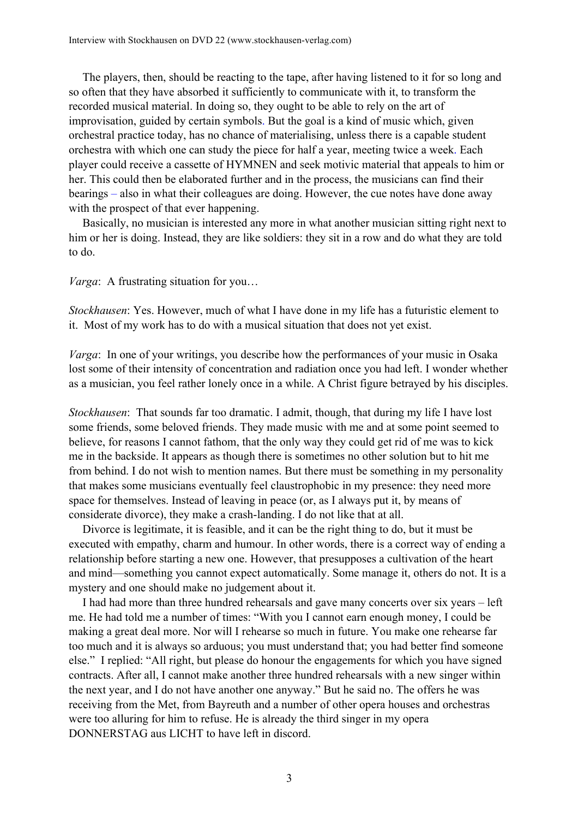The players, then, should be reacting to the tape, after having listened to it for so long and so often that they have absorbed it sufficiently to communicate with it, to transform the recorded musical material. In doing so, they ought to be able to rely on the art of improvisation, guided by certain symbols. But the goal is a kind of music which, given orchestral practice today, has no chance of materialising, unless there is a capable student orchestra with which one can study the piece for half a year, meeting twice a week. Each player could receive a cassette of HYMNEN and seek motivic material that appeals to him or her. This could then be elaborated further and in the process, the musicians can find their bearings – also in what their colleagues are doing. However, the cue notes have done away with the prospect of that ever happening.

Basically, no musician is interested any more in what another musician sitting right next to him or her is doing. Instead, they are like soldiers: they sit in a row and do what they are told to do.

*Varga*: A frustrating situation for you…

*Stockhausen*: Yes. However, much of what I have done in my life has a futuristic element to it. Most of my work has to do with a musical situation that does not yet exist.

*Varga*: In one of your writings, you describe how the performances of your music in Osaka lost some of their intensity of concentration and radiation once you had left. I wonder whether as a musician, you feel rather lonely once in a while. A Christ figure betrayed by his disciples.

*Stockhausen*: That sounds far too dramatic. I admit, though, that during my life I have lost some friends, some beloved friends. They made music with me and at some point seemed to believe, for reasons I cannot fathom, that the only way they could get rid of me was to kick me in the backside. It appears as though there is sometimes no other solution but to hit me from behind. I do not wish to mention names. But there must be something in my personality that makes some musicians eventually feel claustrophobic in my presence: they need more space for themselves. Instead of leaving in peace (or, as I always put it, by means of considerate divorce), they make a crash-landing. I do not like that at all.

Divorce is legitimate, it is feasible, and it can be the right thing to do, but it must be executed with empathy, charm and humour. In other words, there is a correct way of ending a relationship before starting a new one. However, that presupposes a cultivation of the heart and mind—something you cannot expect automatically. Some manage it, others do not. It is a mystery and one should make no judgement about it.

I had had more than three hundred rehearsals and gave many concerts over six years – left me. He had told me a number of times: "With you I cannot earn enough money, I could be making a great deal more. Nor will I rehearse so much in future. You make one rehearse far too much and it is always so arduous; you must understand that; you had better find someone else." I replied: "All right, but please do honour the engagements for which you have signed contracts. After all, I cannot make another three hundred rehearsals with a new singer within the next year, and I do not have another one anyway." But he said no. The offers he was receiving from the Met, from Bayreuth and a number of other opera houses and orchestras were too alluring for him to refuse. He is already the third singer in my opera DONNERSTAG aus LICHT to have left in discord.